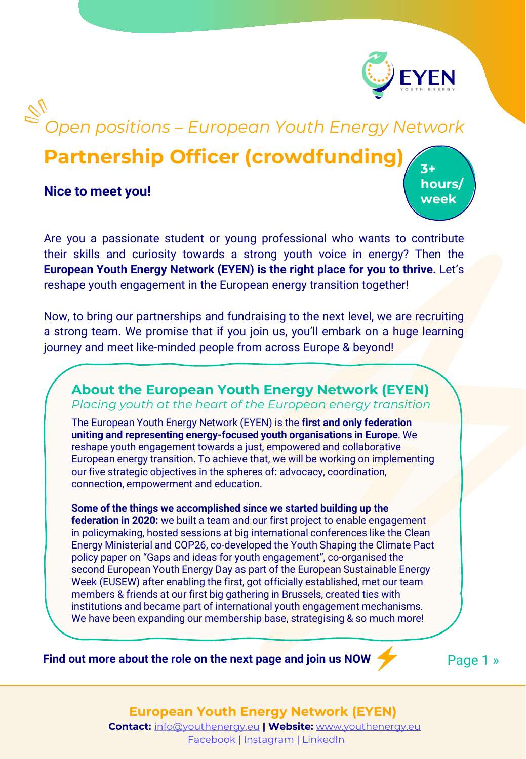

# $\mathbb{S}^{\prime}$ *Open positions – European Youth Energy Network*

# **Partnership Officer (crowdfunding)**

**Nice to meet you!**

**3+ hours/ week**

Are you a passionate student or young professional who wants to contribute their skills and curiosity towards a strong youth voice in energy? Then the **European Youth Energy Network (EYEN) is the right place for you to thrive.** Let's reshape youth engagement in the European energy transition together!

Now, to bring our partnerships and fundraising to the next level, we are recruiting a strong team. We promise that if you join us, you'll embark on a huge learning journey and meet like-minded people from across Europe & beyond!

### **About the European Youth Energy Network (EYEN)** *Placing youth at the heart of the European energy transition*

The European Youth Energy Network (EYEN) is the **first and only federation uniting and representing energy-focused youth organisations in Europe**. We reshape youth engagement towards a just, empowered and collaborative European energy transition. To achieve that, we will be working on implementing our five strategic objectives in the spheres of: advocacy, coordination, connection, empowerment and education.

**Some of the things we accomplished since we started building up the federation in 2020:** we built a team and our first project to enable engagement in policymaking, hosted sessions at big international conferences like the Clean Energy Ministerial and COP26, co-developed the Youth Shaping the Climate Pact policy paper on "Gaps and ideas for youth engagement", co-organised the second European Youth Energy Day as part of the European Sustainable Energy Week (EUSEW) after enabling the first, got officially established, met our team members & friends at our first big gathering in Brussels, created ties with institutions and became part of international youth engagement mechanisms. We have been expanding our membership base, strategising & so much more!

**Find out more about the role on the next page and join us NOW** 

Page 1 »

#### **European Youth Energy Network (EYEN) Contact:** [info@youthenergy.eu](mailto:info@youthenergy.eu) **| Website:** [www.youthenergy.eu](http://www.youthenergy.eu/)

[Facebook](https://www.facebook.com/EYENYouthEnergy) | [Instagram](https://www.instagram.com/eyen_youthenergy/) | [LinkedIn](https://www.linkedin.com/company/eyenyouthenergy/)